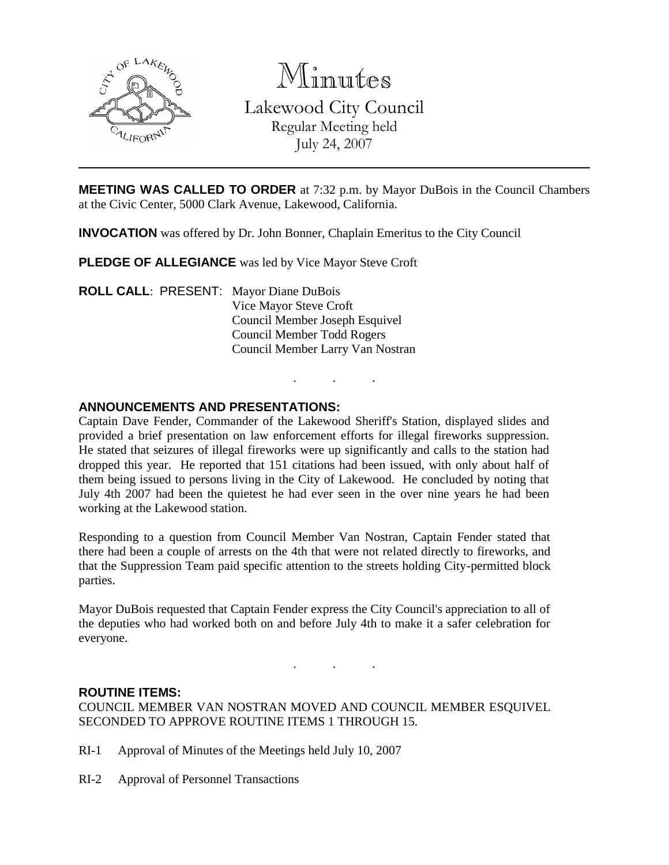

Minutes

Lakewood City Council Regular Meeting held July 24, 2007

**MEETING WAS CALLED TO ORDER** at 7:32 p.m. by Mayor DuBois in the Council Chambers at the Civic Center, 5000 Clark Avenue, Lakewood, California.

**INVOCATION** was offered by Dr. John Bonner, Chaplain Emeritus to the City Council

**PLEDGE OF ALLEGIANCE** was led by Vice Mayor Steve Croft

**ROLL CALL**: PRESENT: Mayor Diane DuBois Vice Mayor Steve Croft Council Member Joseph Esquivel Council Member Todd Rogers Council Member Larry Van Nostran

## **ANNOUNCEMENTS AND PRESENTATIONS:**

Captain Dave Fender, Commander of the Lakewood Sheriff's Station, displayed slides and provided a brief presentation on law enforcement efforts for illegal fireworks suppression. He stated that seizures of illegal fireworks were up significantly and calls to the station had dropped this year. He reported that 151 citations had been issued, with only about half of them being issued to persons living in the City of Lakewood. He concluded by noting that July 4th 2007 had been the quietest he had ever seen in the over nine years he had been working at the Lakewood station.

. . .

Responding to a question from Council Member Van Nostran, Captain Fender stated that there had been a couple of arrests on the 4th that were not related directly to fireworks, and that the Suppression Team paid specific attention to the streets holding City-permitted block parties.

Mayor DuBois requested that Captain Fender express the City Council's appreciation to all of the deputies who had worked both on and before July 4th to make it a safer celebration for everyone.

. . .

### **ROUTINE ITEMS:**

COUNCIL MEMBER VAN NOSTRAN MOVED AND COUNCIL MEMBER ESQUIVEL SECONDED TO APPROVE ROUTINE ITEMS 1 THROUGH 15.

- RI-1 Approval of Minutes of the Meetings held July 10, 2007
- RI-2 Approval of Personnel Transactions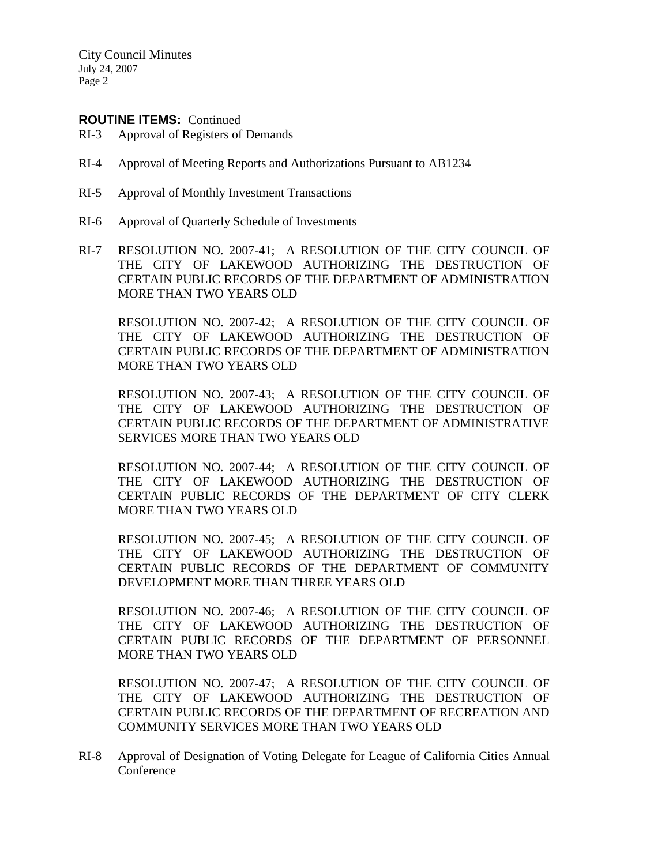City Council Minutes July 24, 2007 Page 2

### **ROUTINE ITEMS:** Continued

- RI-3 Approval of Registers of Demands
- RI-4 Approval of Meeting Reports and Authorizations Pursuant to AB1234
- RI-5 Approval of Monthly Investment Transactions
- RI-6 Approval of Quarterly Schedule of Investments
- RI-7 RESOLUTION NO. 2007-41; A RESOLUTION OF THE CITY COUNCIL OF THE CITY OF LAKEWOOD AUTHORIZING THE DESTRUCTION OF CERTAIN PUBLIC RECORDS OF THE DEPARTMENT OF ADMINISTRATION MORE THAN TWO YEARS OLD

RESOLUTION NO. 2007-42; A RESOLUTION OF THE CITY COUNCIL OF THE CITY OF LAKEWOOD AUTHORIZING THE DESTRUCTION OF CERTAIN PUBLIC RECORDS OF THE DEPARTMENT OF ADMINISTRATION MORE THAN TWO YEARS OLD

RESOLUTION NO. 2007-43; A RESOLUTION OF THE CITY COUNCIL OF THE CITY OF LAKEWOOD AUTHORIZING THE DESTRUCTION OF CERTAIN PUBLIC RECORDS OF THE DEPARTMENT OF ADMINISTRATIVE SERVICES MORE THAN TWO YEARS OLD

RESOLUTION NO. 2007-44; A RESOLUTION OF THE CITY COUNCIL OF THE CITY OF LAKEWOOD AUTHORIZING THE DESTRUCTION OF CERTAIN PUBLIC RECORDS OF THE DEPARTMENT OF CITY CLERK MORE THAN TWO YEARS OLD

RESOLUTION NO. 2007-45; A RESOLUTION OF THE CITY COUNCIL OF THE CITY OF LAKEWOOD AUTHORIZING THE DESTRUCTION OF CERTAIN PUBLIC RECORDS OF THE DEPARTMENT OF COMMUNITY DEVELOPMENT MORE THAN THREE YEARS OLD

RESOLUTION NO. 2007-46; A RESOLUTION OF THE CITY COUNCIL OF THE CITY OF LAKEWOOD AUTHORIZING THE DESTRUCTION OF CERTAIN PUBLIC RECORDS OF THE DEPARTMENT OF PERSONNEL MORE THAN TWO YEARS OLD

RESOLUTION NO. 2007-47; A RESOLUTION OF THE CITY COUNCIL OF THE CITY OF LAKEWOOD AUTHORIZING THE DESTRUCTION OF CERTAIN PUBLIC RECORDS OF THE DEPARTMENT OF RECREATION AND COMMUNITY SERVICES MORE THAN TWO YEARS OLD

RI-8 Approval of Designation of Voting Delegate for League of California Cities Annual Conference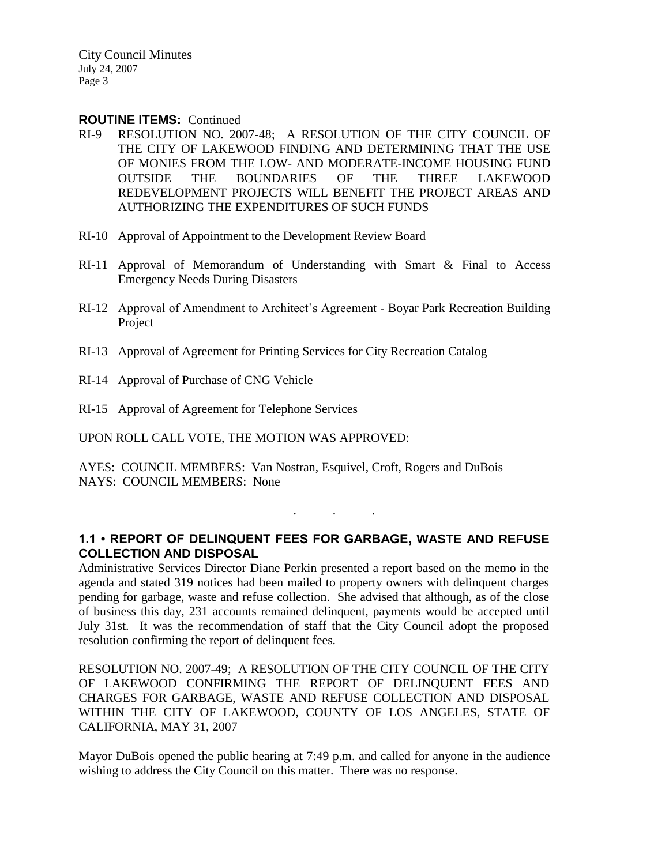City Council Minutes July 24, 2007 Page 3

#### **ROUTINE ITEMS:** Continued

- RI-9 RESOLUTION NO. 2007-48; A RESOLUTION OF THE CITY COUNCIL OF THE CITY OF LAKEWOOD FINDING AND DETERMINING THAT THE USE OF MONIES FROM THE LOW- AND MODERATE-INCOME HOUSING FUND OUTSIDE THE BOUNDARIES OF THE THREE LAKEWOOD REDEVELOPMENT PROJECTS WILL BENEFIT THE PROJECT AREAS AND AUTHORIZING THE EXPENDITURES OF SUCH FUNDS
- RI-10 Approval of Appointment to the Development Review Board
- RI-11 Approval of Memorandum of Understanding with Smart & Final to Access Emergency Needs During Disasters
- RI-12 Approval of Amendment to Architect's Agreement Boyar Park Recreation Building Project
- RI-13 Approval of Agreement for Printing Services for City Recreation Catalog
- RI-14 Approval of Purchase of CNG Vehicle
- RI-15 Approval of Agreement for Telephone Services

UPON ROLL CALL VOTE, THE MOTION WAS APPROVED:

AYES: COUNCIL MEMBERS: Van Nostran, Esquivel, Croft, Rogers and DuBois NAYS: COUNCIL MEMBERS: None

### **1.1 • REPORT OF DELINQUENT FEES FOR GARBAGE, WASTE AND REFUSE COLLECTION AND DISPOSAL**

. . .

Administrative Services Director Diane Perkin presented a report based on the memo in the agenda and stated 319 notices had been mailed to property owners with delinquent charges pending for garbage, waste and refuse collection. She advised that although, as of the close of business this day, 231 accounts remained delinquent, payments would be accepted until July 31st. It was the recommendation of staff that the City Council adopt the proposed resolution confirming the report of delinquent fees.

RESOLUTION NO. 2007-49; A RESOLUTION OF THE CITY COUNCIL OF THE CITY OF LAKEWOOD CONFIRMING THE REPORT OF DELINQUENT FEES AND CHARGES FOR GARBAGE, WASTE AND REFUSE COLLECTION AND DISPOSAL WITHIN THE CITY OF LAKEWOOD, COUNTY OF LOS ANGELES, STATE OF CALIFORNIA, MAY 31, 2007

Mayor DuBois opened the public hearing at 7:49 p.m. and called for anyone in the audience wishing to address the City Council on this matter. There was no response.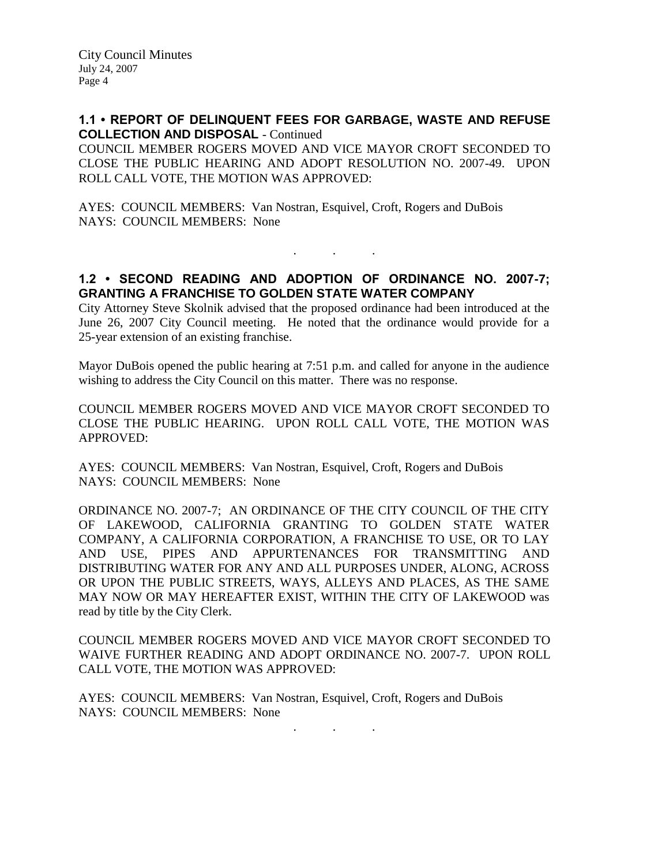### **1.1 • REPORT OF DELINQUENT FEES FOR GARBAGE, WASTE AND REFUSE COLLECTION AND DISPOSAL** - Continued

COUNCIL MEMBER ROGERS MOVED AND VICE MAYOR CROFT SECONDED TO CLOSE THE PUBLIC HEARING AND ADOPT RESOLUTION NO. 2007-49. UPON ROLL CALL VOTE, THE MOTION WAS APPROVED:

AYES: COUNCIL MEMBERS: Van Nostran, Esquivel, Croft, Rogers and DuBois NAYS: COUNCIL MEMBERS: None

## **1.2 • SECOND READING AND ADOPTION OF ORDINANCE NO. 2007-7; GRANTING A FRANCHISE TO GOLDEN STATE WATER COMPANY**

. . .

City Attorney Steve Skolnik advised that the proposed ordinance had been introduced at the June 26, 2007 City Council meeting. He noted that the ordinance would provide for a 25-year extension of an existing franchise.

Mayor DuBois opened the public hearing at 7:51 p.m. and called for anyone in the audience wishing to address the City Council on this matter. There was no response.

COUNCIL MEMBER ROGERS MOVED AND VICE MAYOR CROFT SECONDED TO CLOSE THE PUBLIC HEARING. UPON ROLL CALL VOTE, THE MOTION WAS APPROVED:

AYES: COUNCIL MEMBERS: Van Nostran, Esquivel, Croft, Rogers and DuBois NAYS: COUNCIL MEMBERS: None

ORDINANCE NO. 2007-7; AN ORDINANCE OF THE CITY COUNCIL OF THE CITY OF LAKEWOOD, CALIFORNIA GRANTING TO GOLDEN STATE WATER COMPANY, A CALIFORNIA CORPORATION, A FRANCHISE TO USE, OR TO LAY AND USE, PIPES AND APPURTENANCES FOR TRANSMITTING AND DISTRIBUTING WATER FOR ANY AND ALL PURPOSES UNDER, ALONG, ACROSS OR UPON THE PUBLIC STREETS, WAYS, ALLEYS AND PLACES, AS THE SAME MAY NOW OR MAY HEREAFTER EXIST, WITHIN THE CITY OF LAKEWOOD was read by title by the City Clerk.

COUNCIL MEMBER ROGERS MOVED AND VICE MAYOR CROFT SECONDED TO WAIVE FURTHER READING AND ADOPT ORDINANCE NO. 2007-7. UPON ROLL CALL VOTE, THE MOTION WAS APPROVED:

AYES: COUNCIL MEMBERS: Van Nostran, Esquivel, Croft, Rogers and DuBois NAYS: COUNCIL MEMBERS: None

. . .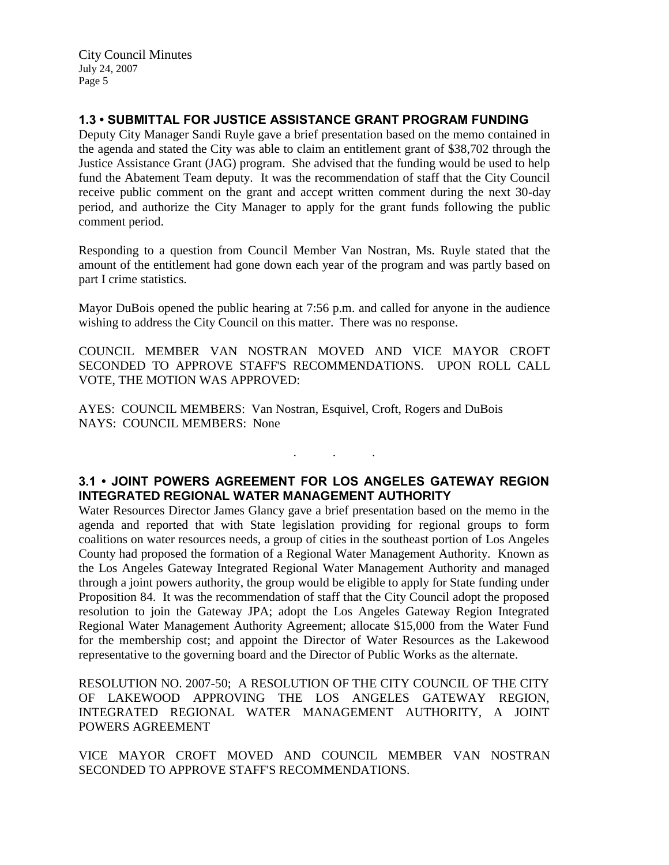# **1.3 • SUBMITTAL FOR JUSTICE ASSISTANCE GRANT PROGRAM FUNDING**

Deputy City Manager Sandi Ruyle gave a brief presentation based on the memo contained in the agenda and stated the City was able to claim an entitlement grant of \$38,702 through the Justice Assistance Grant (JAG) program. She advised that the funding would be used to help fund the Abatement Team deputy. It was the recommendation of staff that the City Council receive public comment on the grant and accept written comment during the next 30-day period, and authorize the City Manager to apply for the grant funds following the public comment period.

Responding to a question from Council Member Van Nostran, Ms. Ruyle stated that the amount of the entitlement had gone down each year of the program and was partly based on part I crime statistics.

Mayor DuBois opened the public hearing at 7:56 p.m. and called for anyone in the audience wishing to address the City Council on this matter. There was no response.

COUNCIL MEMBER VAN NOSTRAN MOVED AND VICE MAYOR CROFT SECONDED TO APPROVE STAFF'S RECOMMENDATIONS. UPON ROLL CALL VOTE, THE MOTION WAS APPROVED:

AYES: COUNCIL MEMBERS: Van Nostran, Esquivel, Croft, Rogers and DuBois NAYS: COUNCIL MEMBERS: None

## **3.1 • JOINT POWERS AGREEMENT FOR LOS ANGELES GATEWAY REGION INTEGRATED REGIONAL WATER MANAGEMENT AUTHORITY**

. . .

Water Resources Director James Glancy gave a brief presentation based on the memo in the agenda and reported that with State legislation providing for regional groups to form coalitions on water resources needs, a group of cities in the southeast portion of Los Angeles County had proposed the formation of a Regional Water Management Authority. Known as the Los Angeles Gateway Integrated Regional Water Management Authority and managed through a joint powers authority, the group would be eligible to apply for State funding under Proposition 84. It was the recommendation of staff that the City Council adopt the proposed resolution to join the Gateway JPA; adopt the Los Angeles Gateway Region Integrated Regional Water Management Authority Agreement; allocate \$15,000 from the Water Fund for the membership cost; and appoint the Director of Water Resources as the Lakewood representative to the governing board and the Director of Public Works as the alternate.

RESOLUTION NO. 2007-50; A RESOLUTION OF THE CITY COUNCIL OF THE CITY OF LAKEWOOD APPROVING THE LOS ANGELES GATEWAY REGION, INTEGRATED REGIONAL WATER MANAGEMENT AUTHORITY, A JOINT POWERS AGREEMENT

VICE MAYOR CROFT MOVED AND COUNCIL MEMBER VAN NOSTRAN SECONDED TO APPROVE STAFF'S RECOMMENDATIONS.